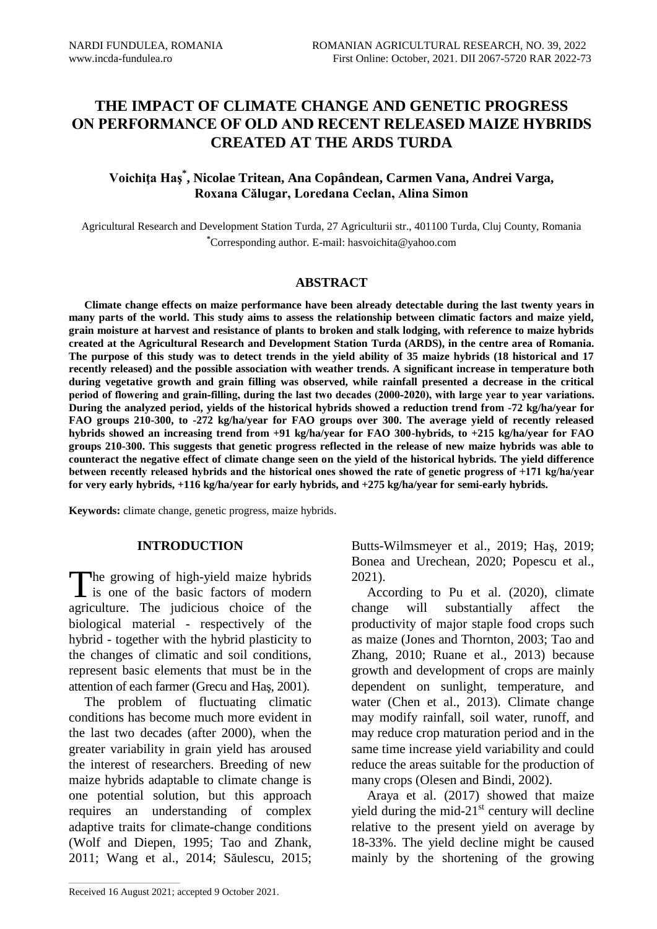# **Voichiţa Haş\* , Nicolae Tritean, Ana Copândean, Carmen Vana, Andrei Varga, Roxana Călugar, Loredana Ceclan, Alina Simon**

Agricultural Research and Development Station Turda, 27 Agriculturii str., 401100 Turda, Cluj County, Romania **\***Corresponding author. E-mail: hasvoichita@yahoo.com

### **ABSTRACT**

**Climate change effects on maize performance have been already detectable during the last twenty years in many parts of the world. This study aims to assess the relationship between climatic factors and maize yield, grain moisture at harvest and resistance of plants to broken and stalk lodging, with reference to maize hybrids created at the Agricultural Research and Development Station Turda (ARDS), in the centre area of Romania. The purpose of this study was to detect trends in the yield ability of 35 maize hybrids (18 historical and 17 recently released) and the possible association with weather trends. A significant increase in temperature both during vegetative growth and grain filling was observed, while rainfall presented a decrease in the critical period of flowering and grain-filling, during the last two decades (2000-2020), with large year to year variations. During the analyzed period, yields of the historical hybrids showed a reduction trend from -72 kg/ha/year for FAO groups 210-300, to -272 kg/ha/year for FAO groups over 300. The average yield of recently released hybrids showed an increasing trend from +91 kg/ha/year for FAO 300-hybrids, to +215 kg/ha/year for FAO groups 210-300. This suggests that genetic progress reflected in the release of new maize hybrids was able to counteract the negative effect of climate change seen on the yield of the historical hybrids. The yield difference between recently released hybrids and the historical ones showed the rate of genetic progress of +171 kg/ha/year for very early hybrids, +116 kg/ha/year for early hybrids, and +275 kg/ha/year for semi-early hybrids.**

**Keywords:** climate change, genetic progress, maize hybrids.

### **INTRODUCTION**

he growing of high-yield maize hybrids The growing of high-yield maize hybrids<br>is one of the basic factors of modern agriculture. The judicious choice of the biological material - respectively of the hybrid - together with the hybrid plasticity to the changes of climatic and soil conditions, represent basic elements that must be in the attention of each farmer (Grecu and Haş, 2001).

The problem of fluctuating climatic conditions has become much more evident in the last two decades (after 2000), when the greater variability in grain yield has aroused the interest of researchers. Breeding of new maize hybrids adaptable to climate change is one potential solution, but this approach requires an understanding of complex adaptive traits for climate-change conditions (Wolf and Diepen, 1995; Tao and Zhank, 2011; Wang et al., 2014; Săulescu, 2015;

Butts-Wilmsmeyer et al., 2019; Haş, 2019; Bonea and Urechean, 2020; Popescu et al., 2021).

According to Pu et al. (2020), climate change will substantially affect the productivity of major staple food crops such as maize (Jones and Thornton, 2003; Tao and Zhang, 2010; Ruane et al., 2013) because growth and development of crops are mainly dependent on sunlight, temperature, and water (Chen et al., 2013). Climate change may modify rainfall, soil water, runoff, and may reduce crop maturation period and in the same time increase yield variability and could reduce the areas suitable for the production of many crops (Olesen and Bindi, 2002).

Araya et al. (2017) showed that maize yield during the mid- $21<sup>st</sup>$  century will decline relative to the present yield on average by 18-33%. The yield decline might be caused mainly by the shortening of the growing

 $\mathcal{L}_\text{max}$  and  $\mathcal{L}_\text{max}$  and  $\mathcal{L}_\text{max}$  and  $\mathcal{L}_\text{max}$ 

Received 16 August 2021; accepted 9 October 2021.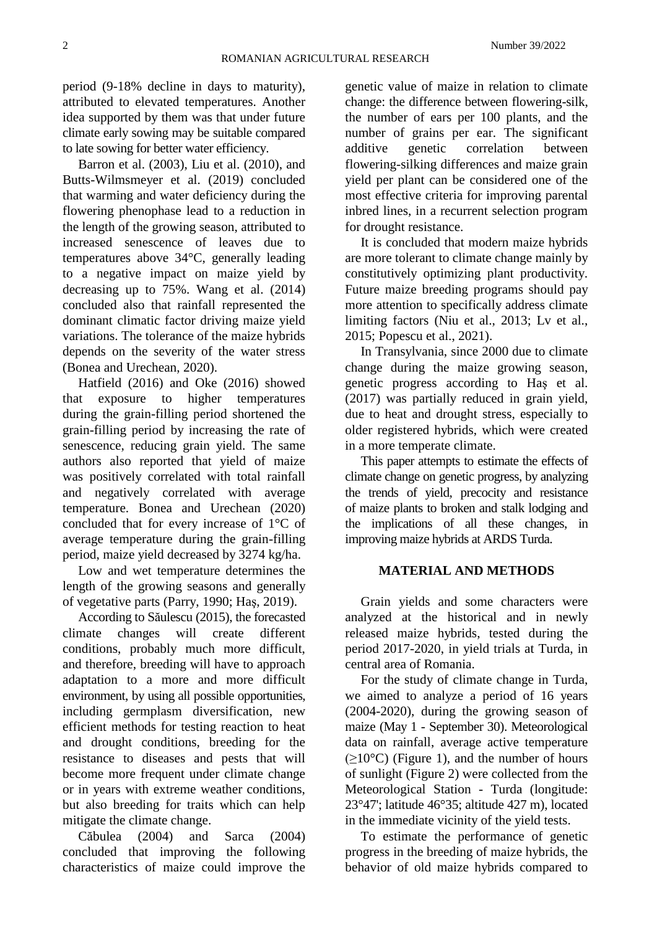period (9-18% decline in days to maturity), attributed to elevated temperatures. Another idea supported by them was that under future climate early sowing may be suitable compared to late sowing for better water efficiency.

Barron et al. (2003), Liu et al. (2010), and Butts-Wilmsmeyer et al. (2019) concluded that warming and water deficiency during the flowering phenophase lead to a reduction in the length of the growing season, attributed to increased senescence of leaves due to temperatures above 34°C, generally leading to a negative impact on maize yield by decreasing up to 75%. Wang et al. (2014) concluded also that rainfall represented the dominant climatic factor driving maize yield variations. The tolerance of the maize hybrids depends on the severity of the water stress (Bonea and Urechean, 2020).

Hatfield (2016) and Oke (2016) showed that exposure to higher temperatures during the grain-filling period shortened the grain-filling period by increasing the rate of senescence, reducing grain yield. The same authors also reported that yield of maize was positively correlated with total rainfall and negatively correlated with average temperature. Bonea and Urechean (2020) concluded that for every increase of 1°C of average temperature during the grain-filling period, maize yield decreased by 3274 kg/ha.

Low and wet temperature determines the length of the growing seasons and generally of vegetative parts (Parry, 1990; Haş, 2019).

According to Săulescu (2015), the forecasted climate changes will create different conditions, probably much more difficult, and therefore, breeding will have to approach adaptation to a more and more difficult environment, by using all possible opportunities, including germplasm diversification, new efficient methods for testing reaction to heat and drought conditions, breeding for the resistance to diseases and pests that will become more frequent under climate change or in years with extreme weather conditions, but also breeding for traits which can help mitigate the climate change.

Căbulea (2004) and Sarca (2004) concluded that improving the following characteristics of maize could improve the

genetic value of maize in relation to climate change: the difference between flowering-silk, the number of ears per 100 plants, and the number of grains per ear. The significant additive genetic correlation between flowering-silking differences and maize grain yield per plant can be considered one of the most effective criteria for improving parental inbred lines, in a recurrent selection program for drought resistance.

It is concluded that modern maize hybrids are more tolerant to climate change mainly by constitutively optimizing plant productivity. Future maize breeding programs should pay more attention to specifically address climate limiting factors (Niu et al., 2013; Lv et al., 2015; Popescu et al., 2021).

In Transylvania, since 2000 due to climate change during the maize growing season, genetic progress according to Haş et al. (2017) was partially reduced in grain yield, due to heat and drought stress, especially to older registered hybrids, which were created in a more temperate climate.

This paper attempts to estimate the effects of climate change on genetic progress, by analyzing the trends of yield, precocity and resistance of maize plants to broken and stalk lodging and the implications of all these changes, in improving maize hybrids at ARDS Turda.

### **MATERIAL AND METHODS**

Grain yields and some characters were analyzed at the historical and in newly released maize hybrids, tested during the period 2017-2020, in yield trials at Turda, in central area of Romania.

For the study of climate change in Turda, we aimed to analyze a period of 16 years (2004-2020), during the growing season of maize (May 1 - September 30). Meteorological data on rainfall, average active temperature  $(\geq 10^{\circ}C)$  (Figure 1), and the number of hours of sunlight (Figure 2) were collected from the Meteorological Station - Turda (longitude: 23°47'; latitude 46°35; altitude 427 m), located in the immediate vicinity of the yield tests.

To estimate the performance of genetic progress in the breeding of maize hybrids, the behavior of old maize hybrids compared to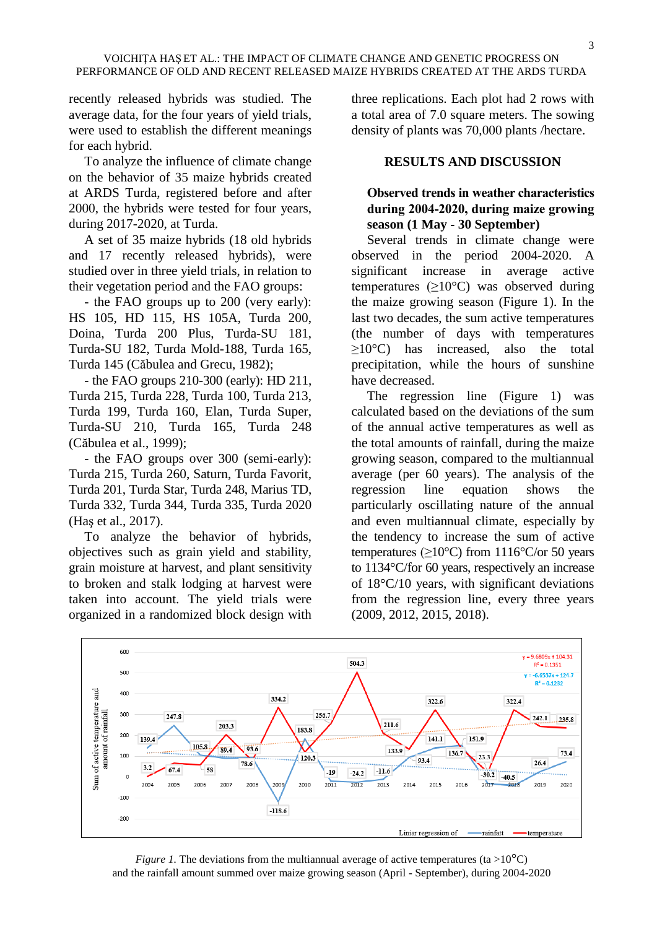recently released hybrids was studied. The average data, for the four years of yield trials, were used to establish the different meanings for each hybrid.

To analyze the influence of climate change on the behavior of 35 maize hybrids created at ARDS Turda, registered before and after 2000, the hybrids were tested for four years, during 2017-2020, at Turda.

A set of 35 maize hybrids (18 old hybrids and 17 recently released hybrids), were studied over in three yield trials, in relation to their vegetation period and the FAO groups:

- the FAO groups up to 200 (very early): HS 105, HD 115, HS 105A, Turda 200, Doina, Turda 200 Plus, Turda-SU 181, Turda-SU 182, Turda Mold-188, Turda 165, Turda 145 (Căbulea and Grecu, 1982);

- the FAO groups 210-300 (early): HD 211, Turda 215, Turda 228, Turda 100, Turda 213, Turda 199, Turda 160, Elan, Turda Super, Turda-SU 210, Turda 165, Turda 248 (Căbulea et al., 1999);

- the FAO groups over 300 (semi-early): Turda 215, Turda 260, Saturn, Turda Favorit, Turda 201, Turda Star, Turda 248, Marius TD, Turda 332, Turda 344, Turda 335, Turda 2020 (Haş et al., 2017).

To analyze the behavior of hybrids, objectives such as grain yield and stability, grain moisture at harvest, and plant sensitivity to broken and stalk lodging at harvest were taken into account. The yield trials were organized in a randomized block design with

three replications. Each plot had 2 rows with a total area of 7.0 square meters. The sowing density of plants was 70,000 plants /hectare.

### **RESULTS AND DISCUSSION**

## **Observed trends in weather characteristics during 2004-2020, during maize growing season (1 May - 30 September)**

Several trends in climate change were observed in the period 2004-2020. A significant increase in average active temperatures ( $\geq 10^{\circ}$ C) was observed during the maize growing season (Figure 1). In the last two decades, the sum active temperatures (the number of days with temperatures ≥10°C) has increased, also the total precipitation, while the hours of sunshine have decreased.

The regression line (Figure 1) was calculated based on the deviations of the sum of the annual active temperatures as well as the total amounts of rainfall, during the maize growing season, compared to the multiannual average (per 60 years). The analysis of the regression line equation shows the particularly oscillating nature of the annual and even multiannual climate, especially by the tendency to increase the sum of active temperatures ( $\geq 10^{\circ}$ C) from 1116°C/or 50 years to 1134°C/for 60 years, respectively an increase of 18°C/10 years, with significant deviations from the regression line, every three years (2009, 2012, 2015, 2018).



*Figure 1.* The deviations from the multiannual average of active temperatures (ta >10<sup>o</sup>C) and the rainfall amount summed over maize growing season (April - September), during 2004-2020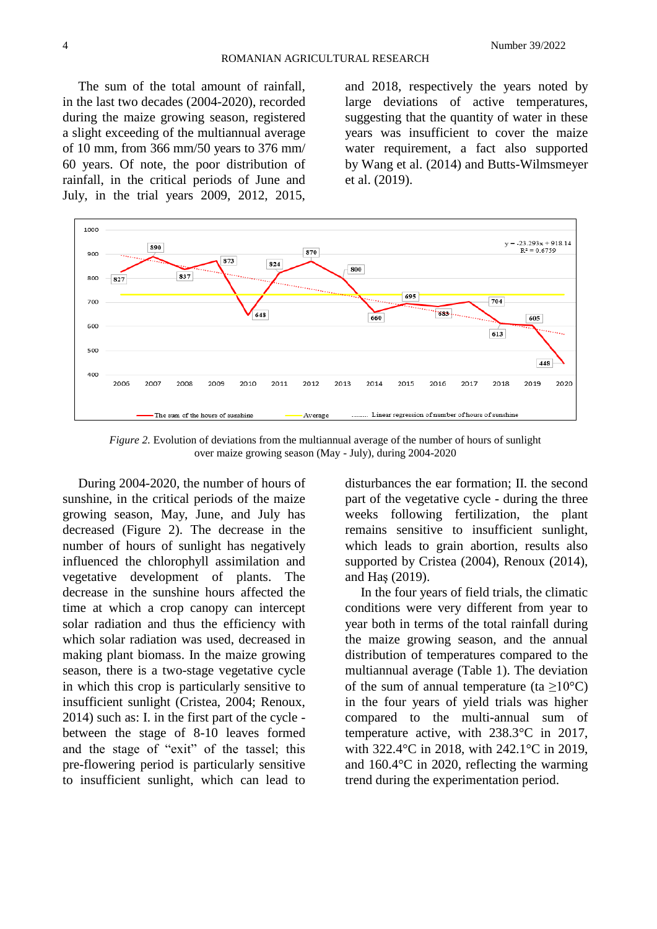The sum of the total amount of rainfall, in the last two decades (2004-2020), recorded during the maize growing season, registered a slight exceeding of the multiannual average of 10 mm, from 366 mm/50 years to 376 mm/ 60 years. Of note, the poor distribution of rainfall, in the critical periods of June and July, in the trial years 2009, 2012, 2015,

and 2018, respectively the years noted by large deviations of active temperatures, suggesting that the quantity of water in these years was insufficient to cover the maize water requirement, a fact also supported by Wang et al. (2014) and Butts-Wilmsmeyer et al. (2019).



*Figure 2.* Evolution of deviations from the multiannual average of the number of hours of sunlight over maize growing season (May - July), during 2004-2020

During 2004-2020, the number of hours of sunshine, in the critical periods of the maize growing season, May, June, and July has decreased (Figure 2). The decrease in the number of hours of sunlight has negatively influenced the chlorophyll assimilation and vegetative development of plants. The decrease in the sunshine hours affected the time at which a crop canopy can intercept solar radiation and thus the efficiency with which solar radiation was used, decreased in making plant biomass. In the maize growing season, there is a two-stage vegetative cycle in which this crop is particularly sensitive to insufficient sunlight (Cristea, 2004; Renoux, 2014) such as: I. in the first part of the cycle between the stage of 8-10 leaves formed and the stage of "exit" of the tassel; this pre-flowering period is particularly sensitive to insufficient sunlight, which can lead to

disturbances the ear formation; II. the second part of the vegetative cycle - during the three weeks following fertilization, the plant remains sensitive to insufficient sunlight, which leads to grain abortion, results also supported by Cristea (2004), Renoux (2014), and Haş (2019).

In the four years of field trials, the climatic conditions were very different from year to year both in terms of the total rainfall during the maize growing season, and the annual distribution of temperatures compared to the multiannual average (Table 1). The deviation of the sum of annual temperature (ta  $>10^{\circ}$ C) in the four years of yield trials was higher compared to the multi-annual sum of temperature active, with 238.3°C in 2017, with 322.4°C in 2018, with 242.1°C in 2019, and 160.4°C in 2020, reflecting the warming trend during the experimentation period.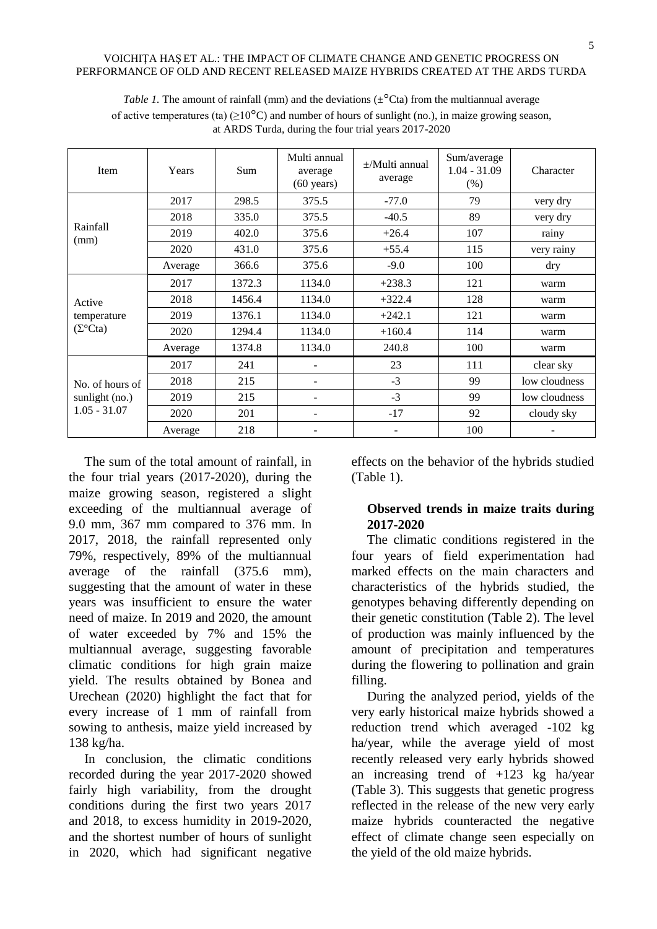| Item                                  | Years   | <b>Sum</b> | Multi annual<br>average<br>$(60 \text{ years})$ | $\pm$ /Multi annual<br>average | Sum/average<br>$1.04 - 31.09$<br>$(\% )$ | Character     |
|---------------------------------------|---------|------------|-------------------------------------------------|--------------------------------|------------------------------------------|---------------|
|                                       | 2017    | 298.5      | 375.5<br>$-77.0$                                |                                | 79                                       | very dry      |
|                                       | 2018    | 335.0      | 375.5                                           | $-40.5$                        | 89                                       | very dry      |
| Rainfall<br>(mm)                      | 2019    | 402.0      | 375.6                                           | $+26.4$                        | 107                                      | rainy         |
|                                       | 2020    | 431.0      | 375.6                                           | $+55.4$                        | 115                                      | very rainy    |
|                                       | Average | 366.6      | 375.6                                           | $-9.0$                         | 100                                      | dry           |
|                                       | 2017    | 1372.3     | 1134.0                                          | $+238.3$                       | 121                                      | warm          |
| Active                                | 2018    | 1456.4     | 1134.0                                          | $+322.4$                       | 128                                      | warm          |
| temperature<br>$(\Sigma^{\circ}$ Cta) | 2019    | 1376.1     | 1134.0                                          | $+242.1$                       | 121                                      | warm          |
|                                       | 2020    | 1294.4     | 1134.0                                          | $+160.4$                       | 114                                      | warm          |
|                                       | Average | 1374.8     | 1134.0                                          | 240.8                          | 100                                      | warm          |
|                                       | 2017    | 241        | ۰                                               | 23                             | 111                                      | clear sky     |
| No. of hours of                       | 2018    | 215        |                                                 | $-3$                           | 99                                       | low cloudness |
| sunlight (no.)                        | 2019    | 215        |                                                 | $-3$                           | 99                                       | low cloudness |
| $1.05 - 31.07$                        | 2020    | 201        | ۰                                               | $-17$                          | 92                                       | cloudy sky    |
|                                       | Average | 218        |                                                 |                                | 100                                      |               |

*Table 1*. The amount of rainfall (mm) and the deviations ( $\pm$ <sup>o</sup>Cta) from the multiannual average of active temperatures (ta)  $(\geq 10^{\circ}C)$  and number of hours of sunlight (no.), in maize growing season, at ARDS Turda, during the four trial years 2017-2020

The sum of the total amount of rainfall, in the four trial years (2017-2020), during the maize growing season, registered a slight exceeding of the multiannual average of 9.0 mm, 367 mm compared to 376 mm. In 2017, 2018, the rainfall represented only 79%, respectively, 89% of the multiannual average of the rainfall (375.6 mm), suggesting that the amount of water in these years was insufficient to ensure the water need of maize. In 2019 and 2020, the amount of water exceeded by 7% and 15% the multiannual average, suggesting favorable climatic conditions for high grain maize yield. The results obtained by Bonea and Urechean (2020) highlight the fact that for every increase of 1 mm of rainfall from sowing to anthesis, maize yield increased by 138 kg/ha.

In conclusion, the climatic conditions recorded during the year 2017-2020 showed fairly high variability, from the drought conditions during the first two years 2017 and 2018, to excess humidity in 2019-2020, and the shortest number of hours of sunlight in 2020, which had significant negative

effects on the behavior of the hybrids studied (Table 1).

# **Observed trends in maize traits during 2017-2020**

The climatic conditions registered in the four years of field experimentation had marked effects on the main characters and characteristics of the hybrids studied, the genotypes behaving differently depending on their genetic constitution (Table 2). The level of production was mainly influenced by the amount of precipitation and temperatures during the flowering to pollination and grain filling.

During the analyzed period, yields of the very early historical maize hybrids showed a reduction trend which averaged -102 kg ha/year, while the average yield of most recently released very early hybrids showed an increasing trend of +123 kg ha/year (Table 3). This suggests that genetic progress reflected in the release of the new very early maize hybrids counteracted the negative effect of climate change seen especially on the yield of the old maize hybrids.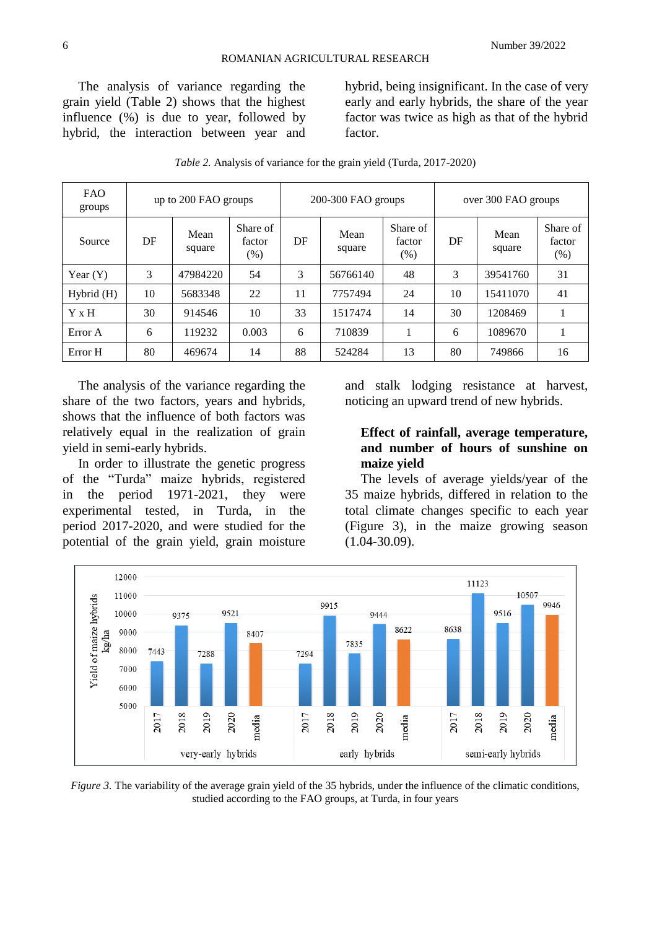The analysis of variance regarding the grain yield (Table 2) shows that the highest influence (%) is due to year, followed by hybrid, the interaction between year and hybrid, being insignificant. In the case of very early and early hybrids, the share of the year factor was twice as high as that of the hybrid factor.

| <b>FAO</b><br>groups | up to 200 FAO groups |                |                            |    | $200-300$ FAO groups |                              |    | over 300 FAO groups |                            |  |
|----------------------|----------------------|----------------|----------------------------|----|----------------------|------------------------------|----|---------------------|----------------------------|--|
| Source               | DF                   | Mean<br>square | Share of<br>factor<br>(% ) | DF | Mean<br>square       | Share of<br>factor<br>$(\%)$ | DF | Mean<br>square      | Share of<br>factor<br>(% ) |  |
| Year $(Y)$           | 3                    | 47984220       | 54                         | 3  | 56766140             | 48                           | 3  | 39541760            | 31                         |  |
| Hybrid(H)            | 10                   | 5683348        | 22                         | 11 | 7757494              | 24                           | 10 | 15411070            | 41                         |  |
| Y x H                | 30                   | 914546         | 10                         | 33 | 1517474              | 14                           | 30 | 1208469             |                            |  |
| Error A              | 6                    | 119232         | 0.003                      | 6  | 710839               |                              | 6  | 1089670             |                            |  |
| Error H              | 80                   | 469674         | 14                         | 88 | 524284               | 13                           | 80 | 749866              | 16                         |  |

*Table 2.* Analysis of variance for the grain yield (Turda, 2017-2020)

The analysis of the variance regarding the share of the two factors, years and hybrids, shows that the influence of both factors was relatively equal in the realization of grain yield in semi-early hybrids.

In order to illustrate the genetic progress of the "Turda" maize hybrids, registered in the period 1971-2021, they were experimental tested, in Turda, in the period 2017-2020, and were studied for the potential of the grain yield, grain moisture and stalk lodging resistance at harvest, noticing an upward trend of new hybrids.

## **Effect of rainfall, average temperature, and number of hours of sunshine on maize yield**

The levels of average yields/year of the 35 maize hybrids, differed in relation to the total climate changes specific to each year (Figure 3), in the maize growing season (1.04-30.09).



*Figure 3.* The variability of the average grain yield of the 35 hybrids, under the influence of the climatic conditions, studied according to the FAO groups, at Turda, in four years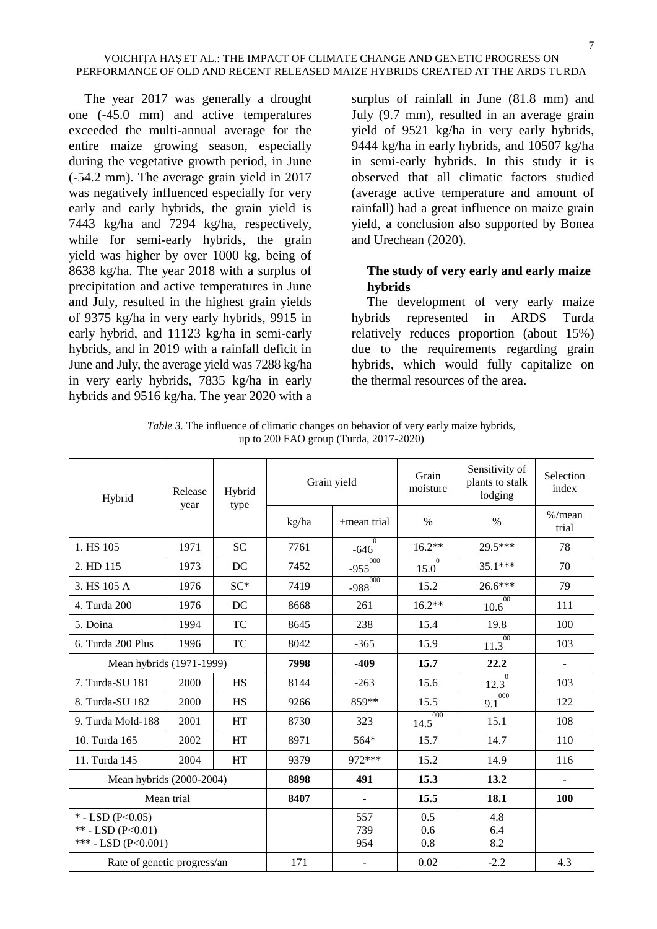The year 2017 was generally a drought one (-45.0 mm) and active temperatures exceeded the multi-annual average for the entire maize growing season, especially during the vegetative growth period, in June (-54.2 mm). The average grain yield in 2017 was negatively influenced especially for very early and early hybrids, the grain yield is 7443 kg/ha and 7294 kg/ha, respectively, while for semi-early hybrids, the grain yield was higher by over 1000 kg, being of 8638 kg/ha. The year 2018 with a surplus of precipitation and active temperatures in June and July, resulted in the highest grain yields of 9375 kg/ha in very early hybrids, 9915 in early hybrid, and 11123 kg/ha in semi-early hybrids, and in 2019 with a rainfall deficit in June and July, the average yield was 7288 kg/ha in very early hybrids, 7835 kg/ha in early hybrids and 9516 kg/ha. The year 2020 with a surplus of rainfall in June (81.8 mm) and July (9.7 mm), resulted in an average grain yield of 9521 kg/ha in very early hybrids, 9444 kg/ha in early hybrids, and 10507 kg/ha in semi-early hybrids. In this study it is observed that all climatic factors studied (average active temperature and amount of rainfall) had a great influence on maize grain yield, a conclusion also supported by Bonea and Urechean (2020).

# **The study of very early and early maize hybrids**

The development of very early maize hybrids represented in ARDS Turda relatively reduces proportion (about 15%) due to the requirements regarding grain hybrids, which would fully capitalize on the thermal resources of the area.

| Hybrid                                                         | Release<br>year | Hybrid<br>type | Grain yield |                    | Grain<br>moisture      | Sensitivity of<br>plants to stalk<br>lodging | Selection<br>index |
|----------------------------------------------------------------|-----------------|----------------|-------------|--------------------|------------------------|----------------------------------------------|--------------------|
|                                                                |                 |                | kg/ha       | $\pm$ mean trial   | $\%$                   | $\%$                                         | $%$ /mean<br>trial |
| 1. HS 105                                                      | 1971            | <b>SC</b>      | 7761        | $\Omega$<br>$-646$ | $16.2**$               | 29.5***                                      | 78                 |
| 2. HD 115                                                      | 1973            | DC             | 7452        | 000<br>$-955$      | $\overline{0}$<br>15.0 | $35.1***$                                    | 70                 |
| 3. HS 105 A                                                    | 1976            | $SC*$          | 7419        | 000<br>$-988$      | 15.2                   | $26.6***$                                    | 79                 |
| 4. Turda 200                                                   | 1976            | DC             | 8668        | 261                | $16.2**$               | 00<br>10.6                                   | 111                |
| 5. Doina                                                       | 1994            | TC             | 8645        | 238                | 15.4                   | 19.8                                         | 100                |
| 6. Turda 200 Plus                                              | 1996            | TC             | 8042        | $-365$             | 15.9                   | 00<br>11.3                                   | 103                |
| Mean hybrids (1971-1999)                                       |                 |                | 7998        | $-409$             | 15.7                   | 22.2                                         | ÷,                 |
| 7. Turda-SU 181                                                | 2000            | <b>HS</b>      | 8144        | $-263$             | 15.6                   | 12.3                                         | 103                |
| 8. Turda-SU 182                                                | 2000            | HS             | 9266        | 859**              | 15.5                   | 000<br>9.1                                   | 122                |
| 9. Turda Mold-188                                              | 2001            | HT             | 8730        | 323                | 000<br>14.5            | 15.1                                         | 108                |
| 10. Turda 165                                                  | 2002            | HT             | 8971        | 564*               | 15.7                   | 14.7                                         | 110                |
| 11. Turda 145                                                  | 2004            | HT             | 9379        | 972***             | 15.2                   | 14.9                                         | 116                |
| Mean hybrids (2000-2004)                                       |                 |                | 8898        | 491                | 15.3                   | 13.2                                         |                    |
| Mean trial                                                     |                 |                | 8407        |                    | 15.5                   | 18.1                                         | <b>100</b>         |
| $*$ - LSD (P<0.05)<br>** - LSD (P<0.01)<br>*** - LSD (P<0.001) |                 |                |             | 557<br>739<br>954  | 0.5<br>0.6<br>0.8      | 4.8<br>6.4<br>8.2                            |                    |
| Rate of genetic progress/an                                    |                 |                | 171         |                    | 0.02                   | $-2.2$                                       | 4.3                |

*Table 3.* The influence of climatic changes on behavior of very early maize hybrids, up to 200 FAO group (Turda, 2017-2020)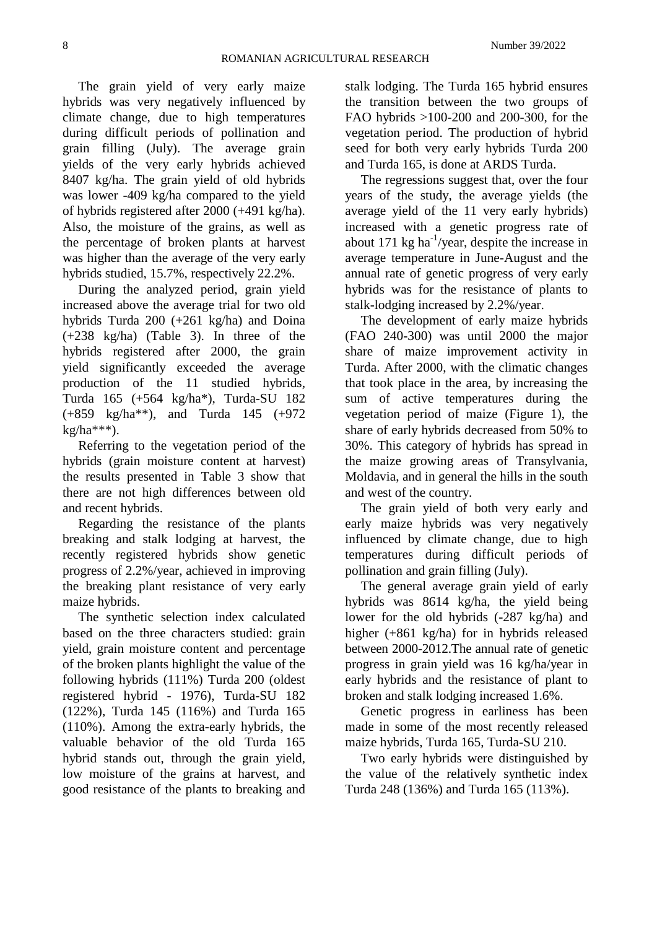The grain yield of very early maize hybrids was very negatively influenced by climate change, due to high temperatures during difficult periods of pollination and grain filling (July). The average grain yields of the very early hybrids achieved 8407 kg/ha. The grain yield of old hybrids was lower -409 kg/ha compared to the yield of hybrids registered after 2000 (+491 kg/ha). Also, the moisture of the grains, as well as the percentage of broken plants at harvest was higher than the average of the very early

hybrids studied, 15.7%, respectively 22.2%. During the analyzed period, grain yield increased above the average trial for two old hybrids Turda 200 (+261 kg/ha) and Doina (+238 kg/ha) (Table 3). In three of the hybrids registered after 2000, the grain yield significantly exceeded the average production of the 11 studied hybrids, Turda 165 (+564 kg/ha\*), Turda-SU 182 (+859 kg/ha\*\*), and Turda 145 (+972  $kg/ha***$ ).

Referring to the vegetation period of the hybrids (grain moisture content at harvest) the results presented in Table 3 show that there are not high differences between old and recent hybrids.

Regarding the resistance of the plants breaking and stalk lodging at harvest, the recently registered hybrids show genetic progress of 2.2%/year, achieved in improving the breaking plant resistance of very early maize hybrids.

The synthetic selection index calculated based on the three characters studied: grain yield, grain moisture content and percentage of the broken plants highlight the value of the following hybrids (111%) Turda 200 (oldest registered hybrid - 1976), Turda-SU 182 (122%), Turda 145 (116%) and Turda 165 (110%). Among the extra-early hybrids, the valuable behavior of the old Turda 165 hybrid stands out, through the grain yield, low moisture of the grains at harvest, and good resistance of the plants to breaking and

stalk lodging. The Turda 165 hybrid ensures the transition between the two groups of FAO hybrids >100-200 and 200-300, for the vegetation period. The production of hybrid seed for both very early hybrids Turda 200 and Turda 165, is done at ARDS Turda.

The regressions suggest that, over the four years of the study, the average yields (the average yield of the 11 very early hybrids) increased with a genetic progress rate of about 171  $kg$  ha<sup>-1</sup>/year, despite the increase in average temperature in June-August and the annual rate of genetic progress of very early hybrids was for the resistance of plants to stalk-lodging increased by 2.2%/year.

The development of early maize hybrids (FAO 240-300) was until 2000 the major share of maize improvement activity in Turda. After 2000, with the climatic changes that took place in the area, by increasing the sum of active temperatures during the vegetation period of maize (Figure 1), the share of early hybrids decreased from 50% to 30%. This category of hybrids has spread in the maize growing areas of Transylvania, Moldavia, and in general the hills in the south and west of the country.

The grain yield of both very early and early maize hybrids was very negatively influenced by climate change, due to high temperatures during difficult periods of pollination and grain filling (July).

The general average grain yield of early hybrids was 8614 kg/ha, the yield being lower for the old hybrids (-287 kg/ha) and higher (+861 kg/ha) for in hybrids released between 2000-2012.The annual rate of genetic progress in grain yield was 16 kg/ha/year in early hybrids and the resistance of plant to broken and stalk lodging increased 1.6%.

Genetic progress in earliness has been made in some of the most recently released maize hybrids, Turda 165, Turda-SU 210.

Two early hybrids were distinguished by the value of the relatively synthetic index Turda 248 (136%) and Turda 165 (113%).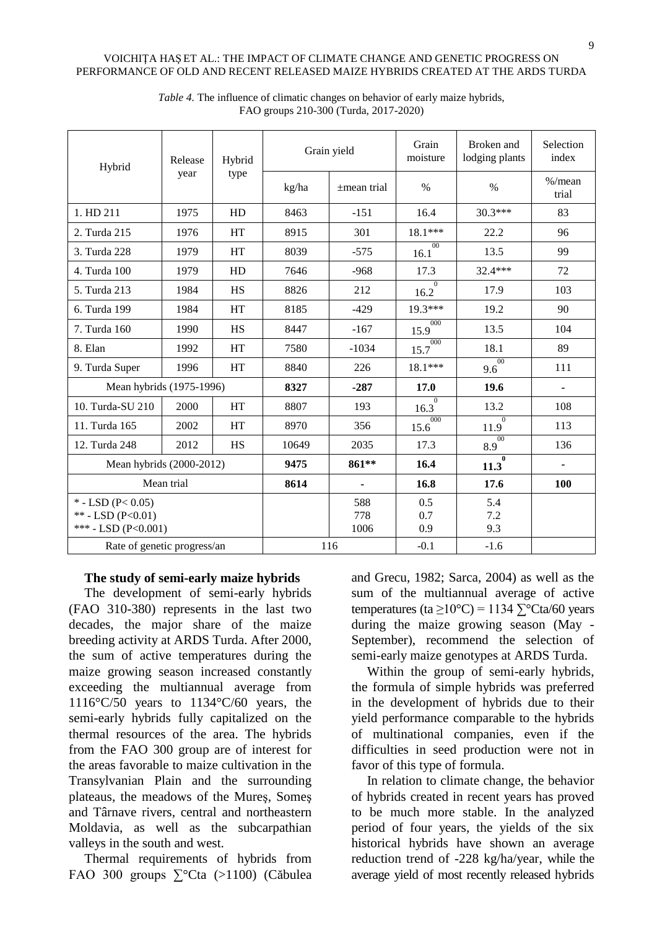| Hybrid                                                          | Release | Hybrid    | Grain yield |                    | Grain<br>moisture      | Broken and<br>lodging plants | Selection<br>index |
|-----------------------------------------------------------------|---------|-----------|-------------|--------------------|------------------------|------------------------------|--------------------|
|                                                                 | year    | type      | kg/ha       | $\pm$ mean trial   | $\%$                   | $\%$                         | $%$ /mean<br>trial |
| 1. HD 211                                                       | 1975    | HD        | 8463        | $-151$             | 16.4                   | $30.3***$                    | 83                 |
| 2. Turda 215                                                    | 1976    | HT        | 8915        | 301                | 18.1***                | 22.2                         | 96                 |
| 3. Turda 228                                                    | 1979    | HT        | 8039        | $-575$             | 00<br>16.1             | 13.5                         | 99                 |
| 4. Turda 100                                                    | 1979    | HD        | 7646        | $-968$             | 17.3                   | 32.4***                      | 72                 |
| 5. Turda 213                                                    | 1984    | <b>HS</b> | 8826        | 212                | $\Omega$<br>16.2       | 17.9                         | 103                |
| 6. Turda 199                                                    | 1984    | HT        | 8185        | $-429$             | 19.3***                | 19.2                         | 90                 |
| 7. Turda 160                                                    | 1990    | <b>HS</b> | 8447        | $-167$             | 000<br>15.9            | 13.5                         | 104                |
| 8. Elan                                                         | 1992    | HT        | 7580        | $-1034$            | 000<br>15.7            | 18.1                         | 89                 |
| 9. Turda Super                                                  | 1996    | HT        | 8840        | 226                | $18.1***$              | 00<br>9.6                    | 111                |
| Mean hybrids (1975-1996)                                        |         | 8327      | $-287$      | 17.0               | 19.6                   |                              |                    |
| 10. Turda-SU 210                                                | 2000    | HT        | 8807        | 193                | $\overline{0}$<br>16.3 | 13.2                         | 108                |
| 11. Turda 165                                                   | 2002    | HT        | 8970        | 356                | 000<br>15.6            | 11.9                         | 113                |
| 12. Turda 248                                                   | 2012    | <b>HS</b> | 10649       | 2035               | 17.3                   | 00<br>8.9                    | 136                |
| Mean hybrids (2000-2012)                                        |         | 9475      | 861**       | 16.4               | $\bf{0}$<br>11.3       | $\blacksquare$               |                    |
| Mean trial                                                      |         | 8614      |             | 16.8               | 17.6                   | 100                          |                    |
| $*$ - LSD (P< 0.05)<br>** - LSD (P<0.01)<br>*** - LSD (P<0.001) |         |           |             | 588<br>778<br>1006 | 0.5<br>0.7<br>0.9      | 5.4<br>7.2<br>9.3            |                    |
| Rate of genetic progress/an                                     |         | 116       |             | $-0.1$             | $-1.6$                 |                              |                    |

*Table 4.* The influence of climatic changes on behavior of early maize hybrids, FAO groups 210-300 (Turda, 2017-2020)

## **The study of semi-early maize hybrids**

The development of semi-early hybrids (FAO 310-380) represents in the last two decades, the major share of the maize breeding activity at ARDS Turda. After 2000, the sum of active temperatures during the maize growing season increased constantly exceeding the multiannual average from 1116°C/50 years to 1134°C/60 years, the semi-early hybrids fully capitalized on the thermal resources of the area. The hybrids from the FAO 300 group are of interest for the areas favorable to maize cultivation in the Transylvanian Plain and the surrounding plateaus, the meadows of the Mureş, Someş and Târnave rivers, central and northeastern Moldavia, as well as the subcarpathian valleys in the south and west.

Thermal requirements of hybrids from FAO 300 groups ∑°Cta (>1100) (Căbulea

and Grecu, 1982; Sarca, 2004) as well as the sum of the multiannual average of active temperatures (ta  $\geq 10^{\circ}$ C) = 1134  $\sum^{\circ}$ Cta/60 years during the maize growing season (May - September), recommend the selection of semi-early maize genotypes at ARDS Turda.

Within the group of semi-early hybrids, the formula of simple hybrids was preferred in the development of hybrids due to their yield performance comparable to the hybrids of multinational companies, even if the difficulties in seed production were not in favor of this type of formula.

In relation to climate change, the behavior of hybrids created in recent years has proved to be much more stable. In the analyzed period of four years, the yields of the six historical hybrids have shown an average reduction trend of -228 kg/ha/year, while the average yield of most recently released hybrids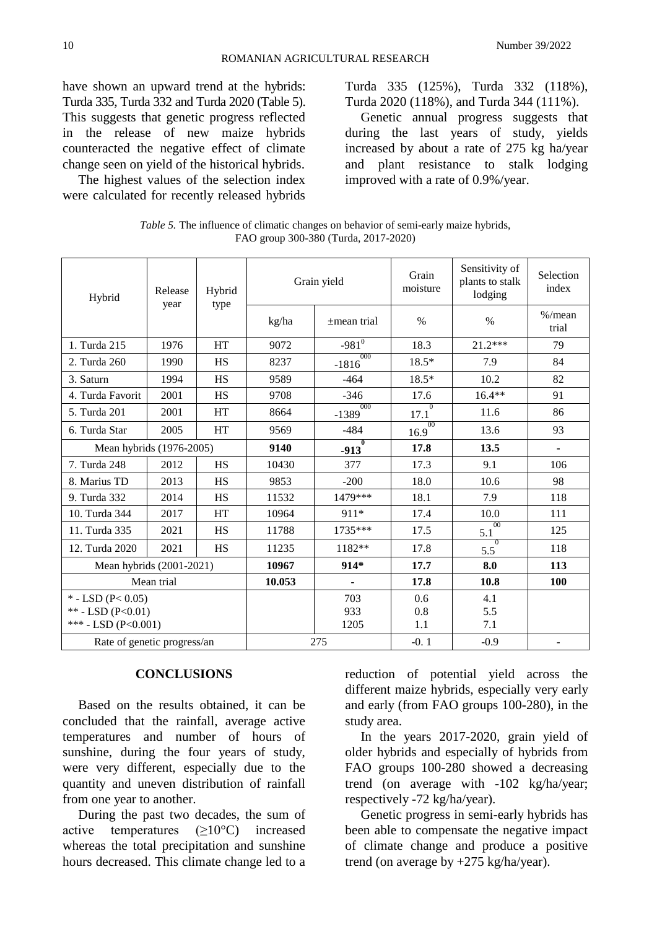have shown an upward trend at the hybrids: Turda 335, Turda 332 and Turda 2020 (Table 5). This suggests that genetic progress reflected in the release of new maize hybrids counteracted the negative effect of climate change seen on yield of the historical hybrids.

The highest values of the selection index were calculated for recently released hybrids

Turda 335 (125%), Turda 332 (118%), Turda 2020 (118%), and Turda 344 (111%).

Genetic annual progress suggests that during the last years of study, yields increased by about a rate of 275 kg ha/year and plant resistance to stalk lodging improved with a rate of 0.9%/year.

| Table 5. The influence of climatic changes on behavior of semi-early maize hybrids, |  |  |
|-------------------------------------------------------------------------------------|--|--|
| FAO group 300-380 (Turda, 2017-2020)                                                |  |  |

| Hybrid                      | Release | Hybrid    | Grain yield |                        | Grain<br>moisture | Sensitivity of<br>plants to stalk<br>lodging | Selection<br>index |
|-----------------------------|---------|-----------|-------------|------------------------|-------------------|----------------------------------------------|--------------------|
|                             | year    | type      | kg/ha       | $\pm$ mean trial       | $\%$              | $\%$                                         | $%$ /mean<br>trial |
| 1. Turda 215                | 1976    | <b>HT</b> | 9072        | $-981^{0}$             | 18.3              | $21.2***$                                    | 79                 |
| 2. Turda 260                | 1990    | <b>HS</b> | 8237        | 000<br>$-1816$         | $18.5*$           | 7.9                                          | 84                 |
| 3. Saturn                   | 1994    | HS        | 9589        | $-464$                 | $18.5*$           | 10.2                                         | 82                 |
| 4. Turda Favorit            | 2001    | <b>HS</b> | 9708        | $-346$                 | 17.6              | $16.4**$                                     | 91                 |
| 5. Turda 201                | 2001    | <b>HT</b> | 8664        | 000<br>$-1389$         | 17.1              | 11.6                                         | 86                 |
| 6. Turda Star               | 2005    | <b>HT</b> | 9569        | $-484$                 | 00<br>16.9        | 13.6                                         | 93                 |
| Mean hybrids (1976-2005)    |         |           | 9140        | $\mathbf{0}$<br>$-913$ | 17.8              | 13.5                                         |                    |
| 7. Turda 248                | 2012    | <b>HS</b> | 10430       | 377                    | 17.3              | 9.1                                          | 106                |
| 8. Marius TD                | 2013    | <b>HS</b> | 9853        | $-200$                 | 18.0              | 10.6                                         | 98                 |
| 9. Turda 332                | 2014    | HS        | 11532       | 1479***                | 18.1              | 7.9                                          | 118                |
| 10. Turda 344               | 2017    | <b>HT</b> | 10964       | 911*                   | 17.4              | 10.0                                         | 111                |
| 11. Turda 335               | 2021    | <b>HS</b> | 11788       | 1735***                | 17.5              | $00\,$<br>5.1                                | 125                |
| 12. Turda 2020              | 2021    | <b>HS</b> | 11235       | 1182**                 | 17.8              | $\overline{0}$<br>5.5                        | 118                |
| Mean hybrids (2001-2021)    |         | 10967     | $914*$      | 17.7                   | 8.0               | 113                                          |                    |
| Mean trial                  |         | 10.053    |             | 17.8                   | 10.8              | 100                                          |                    |
| * - LSD ( $P < 0.05$ )      |         |           |             | 703                    | 0.6               | 4.1                                          |                    |
| ** - LSD (P<0.01)           |         |           |             | 933                    | 0.8               | 5.5                                          |                    |
| *** - LSD (P<0.001)         |         |           |             | 1205                   | 1.1               | 7.1                                          |                    |
| Rate of genetic progress/an |         | 275       |             | $-0.1$                 | $-0.9$            | $\blacksquare$                               |                    |

### **CONCLUSIONS**

Based on the results obtained, it can be concluded that the rainfall, average active temperatures and number of hours of sunshine, during the four years of study, were very different, especially due to the quantity and uneven distribution of rainfall from one year to another.

During the past two decades, the sum of active temperatures (≥10°C) increased whereas the total precipitation and sunshine hours decreased. This climate change led to a

reduction of potential yield across the different maize hybrids, especially very early and early (from FAO groups 100-280), in the study area.

In the years 2017-2020, grain yield of older hybrids and especially of hybrids from FAO groups 100-280 showed a decreasing trend (on average with -102 kg/ha/year; respectively -72 kg/ha/year).

Genetic progress in semi-early hybrids has been able to compensate the negative impact of climate change and produce a positive trend (on average by +275 kg/ha/year).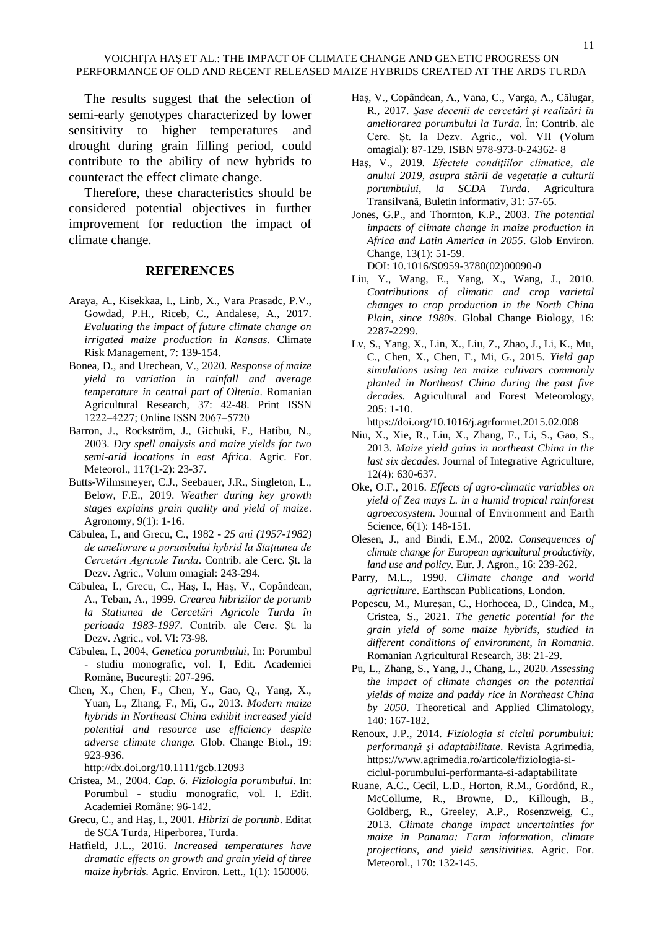The results suggest that the selection of semi-early genotypes characterized by lower sensitivity to higher temperatures and drought during grain filling period, could contribute to the ability of new hybrids to counteract the effect climate change.

Therefore, these characteristics should be considered potential objectives in further improvement for reduction the impact of climate change.

### **REFERENCES**

- Araya, A., Kisekkaa, I., Linb, X., Vara Prasadc, P.V., Gowdad, P.H., Riceb, C., Andalese, A., 2017. *Evaluating the impact of future climate change on irrigated maize production in Kansas.* Climate Risk Management, 7: 139-154.
- Bonea, D., and Urechean, V., 2020. *Response of maize yield to variation in rainfall and average temperature in central part of Oltenia*. Romanian Agricultural Research, 37: 42-48. Print ISSN 1222‒4227; Online ISSN 2067‒5720
- Barron, J., Rockström, J., Gichuki, F., Hatibu, N., 2003. *Dry spell analysis and maize yields for two semi-arid locations in east Africa.* Agric. For. Meteorol., 117(1-2): 23-37.
- Butts-Wilmsmeyer, C.J., Seebauer, J.R., Singleton, L., Below, F.E., 2019. *Weather during key growth stages explains grain quality and yield of maize*. Agronomy*,* 9(1): 1-16.
- Căbulea, I., and Grecu, C., 1982 *25 ani (1957-1982) de ameliorare a porumbului hybrid la Staţiunea de Cercetări Agricole Turda*. Contrib. ale Cerc. Şt. la Dezv. Agric., Volum omagial: 243-294.
- Căbulea, I., Grecu, C., Haş, I., Haş, V., Copândean, A., Teban, A., 1999. *Crearea hibrizilor de porumb la Statiunea de Cercetări Agricole Turda în perioada 1983-1997*. Contrib. ale Cerc. Şt. la Dezv. Agric., vol. VI: 73-98.
- Căbulea, I., 2004, *Genetica porumbului*, In: Porumbul *-* studiu monografic, vol. I, Edit. Academiei Române, București: 207-296.
- Chen, X., Chen, F., Chen, Y., Gao, Q., Yang, X., Yuan, L., Zhang, F., Mi, G., 2013. *Modern maize hybrids in Northeast China exhibit increased yield potential and resource use efficiency despite adverse climate change.* Glob. Change Biol., 19: 923-936.

<http://dx.doi.org/10.1111/gcb.12093>

- Cristea, M., 2004. *Cap. 6. Fiziologia porumbului*. In: Porumbul *-* studiu monografic, vol. I. Edit. Academiei Române: 96-142.
- Grecu, C., and Haş, I., 2001. *Hibrizi de porumb*. Editat de SCA Turda, Hiperborea, Turda.
- Hatfield, J.L., 2016. *Increased temperatures have dramatic effects on growth and grain yield of three maize hybrids.* Agric. Environ. Lett., 1(1): 150006.
- Haş, V., Copândean, A., Vana, C., Varga, A., Călugar, R., 2017. *Şase decenii de cercetări şi realizări în ameliorarea porumbului la Turda.* În: Contrib. ale Cerc. Şt. la Dezv. Agric., vol. VII (Volum omagial): 87-129. ISBN 978-973-0-24362- 8
- Haş, V., 2019*. Efectele condiţiilor climatice, ale anului 2019, asupra stării de vegetaţie a culturii porumbului*, *la SCDA Turda*. Agricultura Transilvană, Buletin informativ, 31: 57-65.
- Jones, G.P., and Thornton, K.P., 2003. *The potential impacts of climate change in maize production in Africa and Latin America in 2055*. Glob Environ. Change, 13(1): 51-59. DOI: [10.1016/S0959-3780\(02\)00090-0](http://dx.doi.org/10.1016/S0959-3780(02)00090-0)
- Liu, Y., Wang, E., Yang, X., Wang, J., 2010. *Contributions of climatic and crop varietal changes to crop production in the North China Plain, since 1980s.* Global Change Biology, 16: 2287-2299.
- Lv, S., Yang, X., Lin, X., Liu, Z., Zhao, J., Li, K., Mu, C., Chen, X., Chen, F., Mi, G., 2015. *Yield gap simulations using ten maize cultivars commonly planted in Northeast China during the past five decades.* Agricultural and Forest Meteorology, 205: 1-10.

<https://doi.org/10.1016/j.agrformet.2015.02.008>

- Niu, X., Xie, R., Liu, X., Zhang, F., Li, S., Gao, S., 2013. *Maize yield gains in northeast China in the last six decades*. [Journal of Integrative Agriculture,](https://www.sciencedirect.com/science/journal/20953119) [12\(4\)](https://www.sciencedirect.com/science/journal/20953119/12/4): 630-637.
- Oke, O.F., 2016. *Effects of agro-climatic variables on yield of Zea mays L. in a humid tropical rainforest agroecosystem*. Journal of Environment and Earth Science, 6(1): 148-151.
- Olesen, J., and Bindi, E.M., 2002. *Consequences of climate change for European agricultural productivity, land use and policy.* Eur. J. Agron., 16: 239-262.
- Parry, M.L., 1990. *Climate change and world agriculture*. Earthscan Publications, London.
- Popescu, M., Mureşan, C., Horhocea, D., Cindea, M., Cristea, S., 2021. *The genetic potential for the grain yield of some maize hybrids, studied in different conditions of environment, in Romania*. Romanian Agricultural Research, 38: 21-29.
- Pu, L., Zhang, S., Yang, J., Chang, L., 2020. *Assessing the impact of climate changes on the potential yields of maize and paddy rice in Northeast China by 2050*. [Theoretical and Applied Climatology,](https://link.springer.com/journal/704) 140: 167-182.
- Renoux, J.P., 2014. *Fiziologia si ciclul porumbului: performanţă şi adaptabilitate*. Revista Agrimedia, [https://www.agrimedia.ro/articole/fiziologia-si](https://www.agrimedia.ro/articole/fiziologia-si-ciclul-porumbului-performanta-si-adaptabilitate)[ciclul-porumbului-performanta-si-adaptabilitate](https://www.agrimedia.ro/articole/fiziologia-si-ciclul-porumbului-performanta-si-adaptabilitate)
- Ruane, A.C., Cecil, L.D., Horton, R.M., Gordónd, R., McCollume, R., Browne, D., Killough, B., Goldberg, R., Greeley, A.P., Rosenzweig, C., 2013. *Climate change impact uncertainties for maize in Panama: Farm information, climate projections, and yield sensitivities*. Agric. For. Meteorol., 170: 132-145.